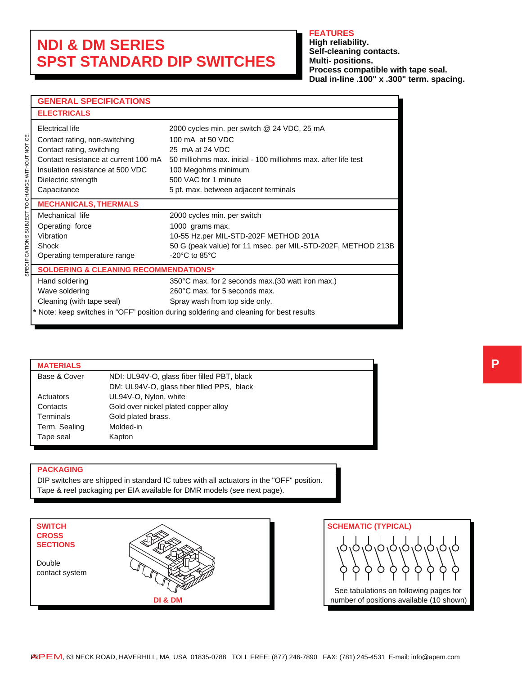# **NDI & DM SERIES SPST STANDARD DIP SWITCHES**

### **FEATURES**

**High reliability. Self-cleaning contacts. Multi- positions. Process compatible with tape seal. Dual in-line .100" x .300" term. spacing.**

## **GENERAL SPECIFICATIONS**

| <b>ELECTRICALS</b>                               |                                                                                        |
|--------------------------------------------------|----------------------------------------------------------------------------------------|
| Electrical life                                  | 2000 cycles min. per switch @ 24 VDC, 25 mA                                            |
| Contact rating, non-switching                    | 100 mA at 50 VDC                                                                       |
| Contact rating, switching                        | 25 mA at 24 VDC                                                                        |
| Contact resistance at current 100 mA             | 50 milliohms max, initial - 100 milliohms max, after life test                         |
| Insulation resistance at 500 VDC                 | 100 Megohms minimum                                                                    |
| Dielectric strength                              | 500 VAC for 1 minute                                                                   |
| Capacitance                                      | 5 pf. max. between adjacent terminals                                                  |
| <b>MECHANICALS, THERMALS</b>                     |                                                                                        |
| Mechanical life                                  | 2000 cycles min. per switch                                                            |
| Operating force                                  | 1000 grams max.                                                                        |
| Vibration                                        | 10-55 Hz.per MIL-STD-202F METHOD 201A                                                  |
| Shock                                            | 50 G (peak value) for 11 msec. per MIL-STD-202F, METHOD 213B                           |
| Operating temperature range                      | $-20^{\circ}$ C to 85 $^{\circ}$ C                                                     |
| <b>SOLDERING &amp; CLEANING RECOMMENDATIONS*</b> |                                                                                        |
| Hand soldering                                   | 350°C max. for 2 seconds max. (30 watt iron max.)                                      |
| Wave soldering                                   | 260°C max. for 5 seconds max.                                                          |
| Cleaning (with tape seal)                        | Spray wash from top side only.                                                         |
|                                                  | * Note: keep switches in "OFF" position during soldering and cleaning for best results |

### **MATERIALS** Base & Cover NDI: UL94V-O, glass fiber filled PBT, black DM: UL94V-O, glass fiber filled PPS, black Actuators UL94V-O, Nylon, white Contacts Gold over nickel plated copper alloy Terminals Gold plated brass. Term. Sealing Molded-in Tape seal **Kapton**

#### **PACKAGING**

DIP switches are shipped in standard IC tubes with all actuators in the "OFF" position. Tape & reel packaging per EIA available for DMR models (see next page).

| <b>SWITCH</b><br><b>CROSS</b><br><b>SECTIONS</b> |         |
|--------------------------------------------------|---------|
| Double<br>contact system                         |         |
|                                                  | DI & DM |